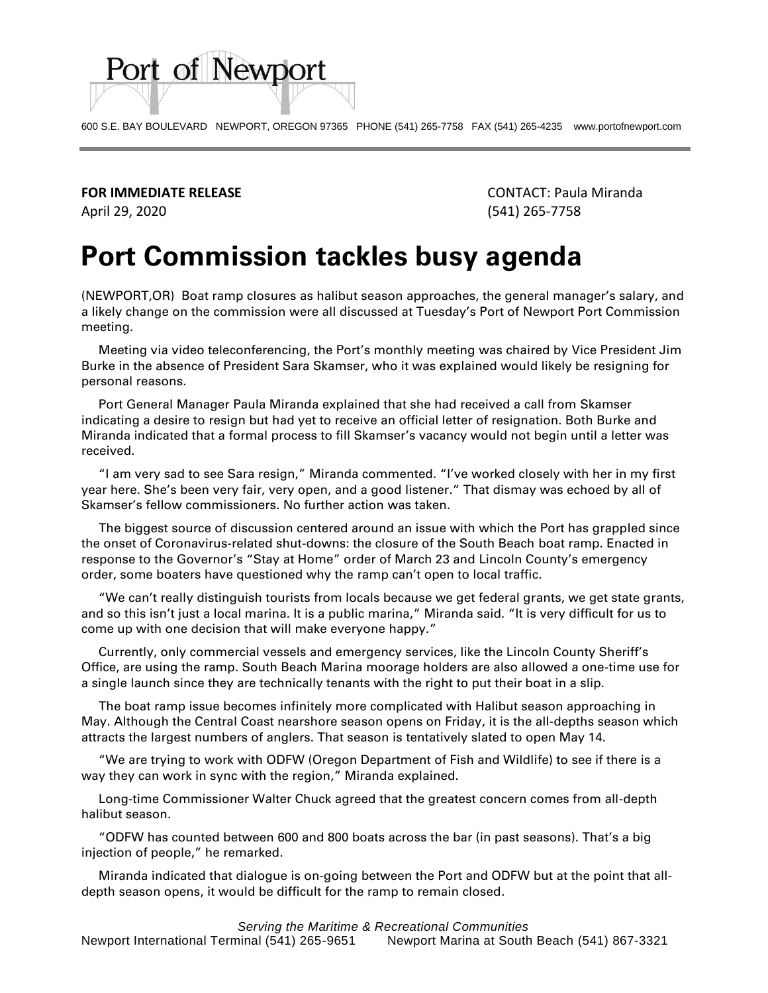

**FOR IMMEDIATE RELEASE** CONTACT: Paula Miranda April 29, 2020 (541) 265-7758

Port of Newport

## **Port Commission tackles busy agenda**

(NEWPORT,OR) Boat ramp closures as halibut season approaches, the general manager's salary, and a likely change on the commission were all discussed at Tuesday's Port of Newport Port Commission meeting.

 Meeting via video teleconferencing, the Port's monthly meeting was chaired by Vice President Jim Burke in the absence of President Sara Skamser, who it was explained would likely be resigning for personal reasons.

 Port General Manager Paula Miranda explained that she had received a call from Skamser indicating a desire to resign but had yet to receive an official letter of resignation. Both Burke and Miranda indicated that a formal process to fill Skamser's vacancy would not begin until a letter was received.

 "I am very sad to see Sara resign," Miranda commented. "I've worked closely with her in my first year here. She's been very fair, very open, and a good listener." That dismay was echoed by all of Skamser's fellow commissioners. No further action was taken.

 The biggest source of discussion centered around an issue with which the Port has grappled since the onset of Coronavirus-related shut-downs: the closure of the South Beach boat ramp. Enacted in response to the Governor's "Stay at Home" order of March 23 and Lincoln County's emergency order, some boaters have questioned why the ramp can't open to local traffic.

 "We can't really distinguish tourists from locals because we get federal grants, we get state grants, and so this isn't just a local marina. It is a public marina," Miranda said. "It is very difficult for us to come up with one decision that will make everyone happy."

 Currently, only commercial vessels and emergency services, like the Lincoln County Sheriff's Office, are using the ramp. South Beach Marina moorage holders are also allowed a one-time use for a single launch since they are technically tenants with the right to put their boat in a slip.

 The boat ramp issue becomes infinitely more complicated with Halibut season approaching in May. Although the Central Coast nearshore season opens on Friday, it is the all-depths season which attracts the largest numbers of anglers. That season is tentatively slated to open May 14.

 "We are trying to work with ODFW (Oregon Department of Fish and Wildlife) to see if there is a way they can work in sync with the region," Miranda explained.

 Long-time Commissioner Walter Chuck agreed that the greatest concern comes from all-depth halibut season.

 "ODFW has counted between 600 and 800 boats across the bar (in past seasons). That's a big injection of people," he remarked.

 Miranda indicated that dialogue is on-going between the Port and ODFW but at the point that alldepth season opens, it would be difficult for the ramp to remain closed.